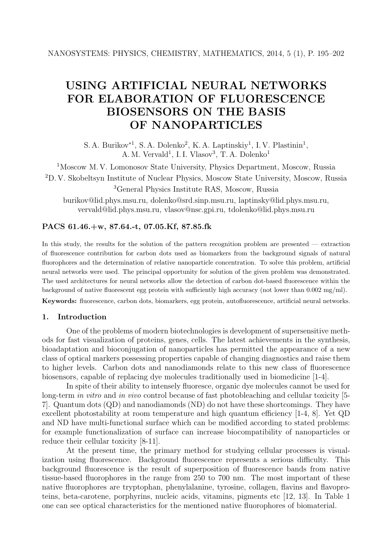# **USING ARTIFICIAL NEURAL NETWORKS FOR ELABORATION OF FLUORESCENCE BIOSENSORS ON THE BASIS OF NANOPARTICLES**

S. A. Burikov<sup>∗1</sup>, S. A. Dolenko<sup>2</sup>, K. A. Laptinskiy<sup>1</sup>, I. V. Plastinin<sup>1</sup>, A. M. Vervald<sup>1</sup>, I. I. Vlasov<sup>3</sup>, T. A. Dolenko<sup>1</sup>

<sup>1</sup>Moscow M. V. Lomonosov State University, Physics Department, Moscow, Russia <sup>2</sup>D. V. Skobeltsyn Institute of Nuclear Physics, Moscow State University, Moscow, Russia

<sup>3</sup>General Physics Institute RAS, Moscow, Russia

burikov@lid.phys.msu.ru, dolenko@srd.sinp.msu.ru, laptinsky@lid.phys.msu.ru, vervald@lid.phys.msu.ru, vlasov@nsc.gpi.ru, tdolenko@lid.phys.msu.ru

## **PACS 61.46.+w, 87.64.-t, 07.05.Kf, 87.85.fk**

In this study, the results for the solution of the pattern recognition problem are presented — extraction of fluorescence contribution for carbon dots used as biomarkers from the background signals of natural fluorophores and the determination of relative nanoparticle concentration. To solve this problem, artificial neural networks were used. The principal opportunity for solution of the given problem was demonstrated. The used architectures for neural networks allow the detection of carbon dot-based fluorescence within the background of native fluorescent egg protein with sufficiently high accuracy (not lower than 0.002 mg/ml).

**Keywords:** fluorescence, carbon dots, biomarkers, egg protein, autofluorescence, artificial neural networks.

# **1. Introduction**

One of the problems of modern biotechnologies is development of supersensitive methods for fast visualization of proteins, genes, cells. The latest achievements in the synthesis, bioadaptation and bioconjugation of nanoparticles has permitted the appearance of a new class of optical markers possessing properties capable of changing diagnostics and raise them to higher levels. Carbon dots and nanodiamonds relate to this new class of fluorescence biosensors, capable of replacing dye molecules traditionally used in biomedicine [1-4].

In spite of their ability to intensely fluoresce, organic dye molecules cannot be used for long-term *in vitro* and *in vivo* control because of fast photobleaching and cellular toxicity [5- 7]. Quantum dots (QD) and nanodiamonds (ND) do not have these shortcomings. They have excellent photostability at room temperature and high quantum efficiency [1-4, 8]. Yet QD and ND have multi-functional surface which can be modified according to stated problems: for example functionalization of surface can increase biocompatibility of nanoparticles or reduce their cellular toxicity [8-11].

At the present time, the primary method for studying cellular processes is visualization using fluorescence. Background fluorescence represents a serious difficulty. This background fluorescence is the result of superposition of fluorescence bands from native tissue-based fluorophores in the range from 250 to 700 nm. The most important of these native fluorophores are tryptophan, phenylalanine, tyrosine, collagen, flavins and flavoproteins, beta-carotene, porphyrins, nucleic acids, vitamins, pigments etc [12, 13]. In Table 1 one can see optical characteristics for the mentioned native fluorophores of biomaterial.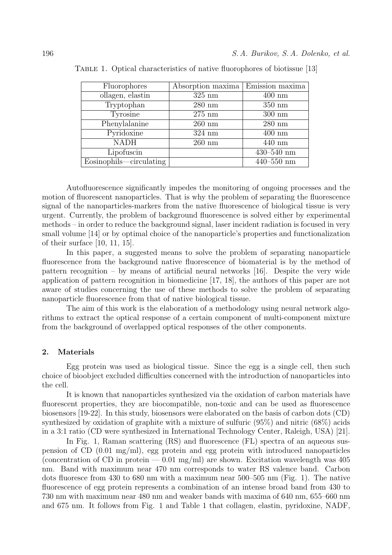| Fluorophores            | Absorption maxima | Emission maxima  |
|-------------------------|-------------------|------------------|
| ollagen, elastin        | $325$ nm          | $400$ nm         |
| Tryptophan              | $280$ nm          | $350 \text{ nm}$ |
| Tyrosine                | $275$ nm          | $300 \text{ nm}$ |
| Phenylalanine           | $260$ nm          | $280$ nm         |
| Pyridoxine              | $324$ nm          | $400$ nm         |
| <b>NADH</b>             | $260$ nm          | $440$ nm         |
| Lipofuscin              |                   | $430 - 540$ nm   |
| Eosinophils—circulating |                   | $440 - 550$ nm   |

TABLE 1. Optical characteristics of native fluorophores of biotissue [13]

Autofluorescence significantly impedes the monitoring of ongoing processes and the motion of fluorescent nanoparticles. That is why the problem of separating the fluorescence signal of the nanoparticles-markers from the native fluorescence of biological tissue is very urgent. Currently, the problem of background fluorescence is solved either by experimental methods – in order to reduce the background signal, laser incident radiation is focused in very small volume [14] or by optimal choice of the nanoparticle's properties and functionalization of their surface [10, 11, 15].

In this paper, a suggested means to solve the problem of separating nanoparticle fluorescence from the background native fluorescence of biomaterial is by the method of pattern recognition – by means of artificial neural networks [16]. Despite the very wide application of pattern recognition in biomedicine [17, 18], the authors of this paper are not aware of studies concerning the use of these methods to solve the problem of separating nanoparticle fluorescence from that of native biological tissue.

The aim of this work is the elaboration of a methodology using neural network algorithms to extract the optical response of a certain component of multi-component mixture from the background of overlapped optical responses of the other components.

## **2. Materials**

Egg protein was used as biological tissue. Since the egg is a single cell, then such choice of bioobject excluded difficulties concerned with the introduction of nanoparticles into the cell.

It is known that nanoparticles synthesized via the oxidation of carbon materials have fluorescent properties, they are biocompatible, non-toxic and can be used as fluorescence biosensors [19-22]. In this study, biosensors were elaborated on the basis of carbon dots (CD) synthesized by oxidation of graphite with a mixture of sulfuric (95%) and nitric (68%) acids in a 3:1 ratio (CD were synthesized in International Technology Center, Raleigh, USA) [21].

In Fig. 1, Raman scattering (RS) and fluorescence (FL) spectra of an aqueous suspension of CD (0.01 mg/ml), egg protein and egg protein with introduced nanoparticles (concentration of CD in protein  $-0.01 \text{ mg/ml}$ ) are shown. Excitation wavelength was 405 nm. Band with maximum near 470 nm corresponds to water RS valence band. Carbon dots fluoresce from 430 to 680 nm with a maximum near 500–505 nm (Fig. 1). The native fluorescence of egg protein represents a combination of an intense broad band from 430 to 730 nm with maximum near 480 nm and weaker bands with maxima of 640 nm, 655–660 nm and 675 nm. It follows from Fig. 1 and Table 1 that collagen, elastin, pyridoxine, NADF,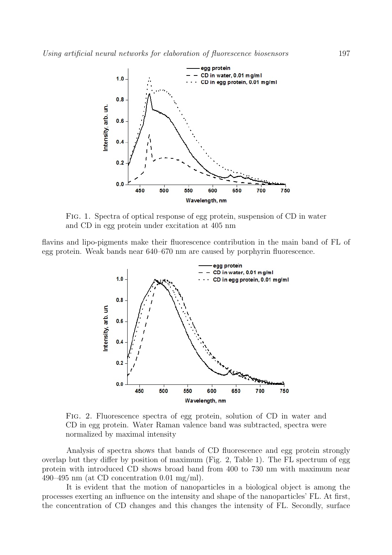

Fig. 1. Spectra of optical response of egg protein, suspension of CD in water and CD in egg protein under excitation at 405 nm

flavins and lipo-pigments make their fluorescence contribution in the main band of FL of egg protein. Weak bands near 640–670 nm are caused by porphyrin fluorescence.



Fig. 2. Fluorescence spectra of egg protein, solution of CD in water and CD in egg protein. Water Raman valence band was subtracted, spectra were normalized by maximal intensity

Analysis of spectra shows that bands of CD fluorescence and egg protein strongly overlap but they differ by position of maximum (Fig. 2, Table 1). The FL spectrum of egg protein with introduced CD shows broad band from 400 to 730 nm with maximum near 490–495 nm (at CD concentration 0.01 mg/ml).

It is evident that the motion of nanoparticles in a biological object is among the processes exerting an influence on the intensity and shape of the nanoparticles' FL. At first, the concentration of CD changes and this changes the intensity of FL. Secondly, surface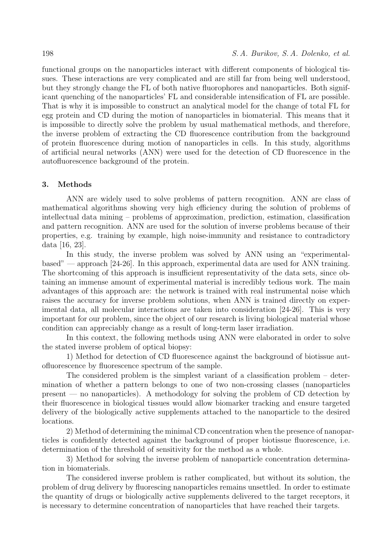functional groups on the nanoparticles interact with different components of biological tissues. These interactions are very complicated and are still far from being well understood, but they strongly change the FL of both native fluorophores and nanoparticles. Both significant quenching of the nanoparticles' FL and considerable intensification of FL are possible. That is why it is impossible to construct an analytical model for the change of total FL for egg protein and CD during the motion of nanoparticles in biomaterial. This means that it is impossible to directly solve the problem by usual mathematical methods, and therefore, the inverse problem of extracting the CD fluorescence contribution from the background of protein fluorescence during motion of nanoparticles in cells. In this study, algorithms of artificial neural networks (ANN) were used for the detection of CD fluorescence in the autofluorescence background of the protein.

# **3. Methods**

ANN are widely used to solve problems of pattern recognition. ANN are class of mathematical algorithms showing very high efficiency during the solution of problems of intellectual data mining – problems of approximation, prediction, estimation, classification and pattern recognition. ANN are used for the solution of inverse problems because of their properties, e.g. training by example, high noise-immunity and resistance to contradictory data [16, 23].

In this study, the inverse problem was solved by ANN using an "experimentalbased" — approach [24-26]. In this approach, experimental data are used for ANN training. The shortcoming of this approach is insufficient representativity of the data sets, since obtaining an immense amount of experimental material is incredibly tedious work. The main advantages of this approach are: the network is trained with real instrumental noise which raises the accuracy for inverse problem solutions, when ANN is trained directly on experimental data, all molecular interactions are taken into consideration [24-26]. This is very important for our problem, since the object of our research is living biological material whose condition can appreciably change as a result of long-term laser irradiation.

In this context, the following methods using ANN were elaborated in order to solve the stated inverse problem of optical biopsy:

1) Method for detection of CD fluorescence against the background of biotissue autofluorescence by fluorescence spectrum of the sample.

The considered problem is the simplest variant of a classification problem – determination of whether a pattern belongs to one of two non-crossing classes (nanoparticles present — no nanoparticles). A methodology for solving the problem of CD detection by their fluorescence in biological tissues would allow biomarker tracking and ensure targeted delivery of the biologically active supplements attached to the nanoparticle to the desired locations.

2) Method of determining the minimal CD concentration when the presence of nanoparticles is confidently detected against the background of proper biotissue fluorescence, i.e. determination of the threshold of sensitivity for the method as a whole.

3) Method for solving the inverse problem of nanoparticle concentration determination in biomaterials.

The considered inverse problem is rather complicated, but without its solution, the problem of drug delivery by fluorescing nanoparticles remains unsettled. In order to estimate the quantity of drugs or biologically active supplements delivered to the target receptors, it is necessary to determine concentration of nanoparticles that have reached their targets.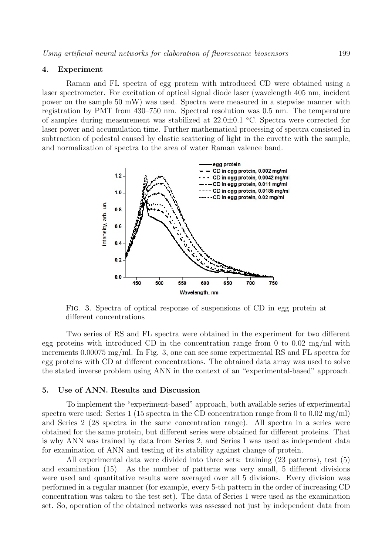#### **4. Experiment**

Raman and FL spectra of egg protein with introduced CD were obtained using a laser spectrometer. For excitation of optical signal diode laser (wavelength 405 nm, incident power on the sample 50 mW) was used. Spectra were measured in a stepwise manner with registration by PMT from 430–750 nm. Spectral resolution was 0.5 nm. The temperature of samples during measurement was stabilized at 22.0*±*0.1 ◦C. Spectra were corrected for laser power and accumulation time. Further mathematical processing of spectra consisted in subtraction of pedestal caused by elastic scattering of light in the cuvette with the sample, and normalization of spectra to the area of water Raman valence band.



Fig. 3. Spectra of optical response of suspensions of CD in egg protein at different concentrations

Two series of RS and FL spectra were obtained in the experiment for two different egg proteins with introduced CD in the concentration range from 0 to  $0.02 \text{ mg/ml}$  with increments 0.00075 mg/ml. In Fig. 3, one can see some experimental RS and FL spectra for egg proteins with CD at different concentrations. The obtained data array was used to solve the stated inverse problem using ANN in the context of an "experimental-based" approach.

#### **5. Use of ANN. Results and Discussion**

To implement the "experiment-based" approach, both available series of experimental spectra were used: Series 1 (15 spectra in the CD concentration range from 0 to 0.02 mg/ml) and Series 2 (28 spectra in the same concentration range). All spectra in a series were obtained for the same protein, but different series were obtained for different proteins. That is why ANN was trained by data from Series 2, and Series 1 was used as independent data for examination of ANN and testing of its stability against change of protein.

All experimental data were divided into three sets: training (23 patterns), test (5) and examination (15). As the number of patterns was very small, 5 different divisions were used and quantitative results were averaged over all 5 divisions. Every division was performed in a regular manner (for example, every 5-th pattern in the order of increasing CD concentration was taken to the test set). The data of Series 1 were used as the examination set. So, operation of the obtained networks was assessed not just by independent data from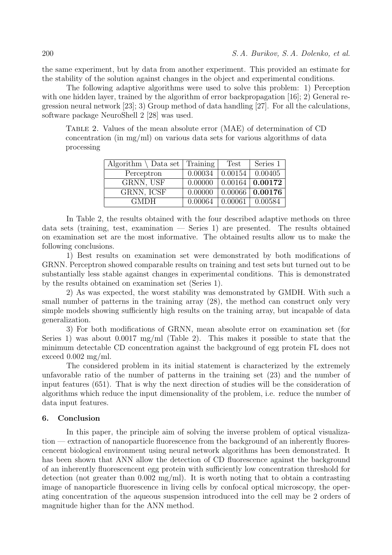the same experiment, but by data from another experiment. This provided an estimate for the stability of the solution against changes in the object and experimental conditions.

The following adaptive algorithms were used to solve this problem: 1) Perception with one hidden layer, trained by the algorithm of error backpropagation [16]; 2) General regression neural network [23]; 3) Group method of data handling [27]. For all the calculations, software package NeuroShell 2 [28] was used.

Table 2. Values of the mean absolute error (MAE) of determination of CD concentration (in mg/ml) on various data sets for various algorithms of data processing

| Algorithm $\setminus$ Data set   Training |         | Test                              | Series 1                                            |
|-------------------------------------------|---------|-----------------------------------|-----------------------------------------------------|
| Perceptron                                | 0.00034 |                                   | 0.00154   0.00405                                   |
| GRNN, USF                                 |         |                                   | $\overline{0.00000}$ $\overline{0.00164}$   0.00172 |
| GRNN, ICSF                                | 0.00000 |                                   | $\vert 0.00066 \vert 0.00176$                       |
| <b>GMDH</b>                               |         | $0.00064$   $0.00061$   $0.00584$ |                                                     |

In Table 2, the results obtained with the four described adaptive methods on three data sets (training, test, examination — Series 1) are presented. The results obtained on examination set are the most informative. The obtained results allow us to make the following conclusions.

1) Best results on examination set were demonstrated by both modifications of GRNN. Perceptron showed comparable results on training and test sets but turned out to be substantially less stable against changes in experimental conditions. This is demonstrated by the results obtained on examination set (Series 1).

2) As was expected, the worst stability was demonstrated by GMDH. With such a small number of patterns in the training array (28), the method can construct only very simple models showing sufficiently high results on the training array, but incapable of data generalization.

3) For both modifications of GRNN, mean absolute error on examination set (for Series 1) was about  $0.0017 \text{ mg/ml}$  (Table 2). This makes it possible to state that the minimum detectable CD concentration against the background of egg protein FL does not exceed 0.002 mg/ml.

The considered problem in its initial statement is characterized by the extremely unfavorable ratio of the number of patterns in the training set (23) and the number of input features (651). That is why the next direction of studies will be the consideration of algorithms which reduce the input dimensionality of the problem, i.e. reduce the number of data input features.

## **6. Conclusion**

In this paper, the principle aim of solving the inverse problem of optical visualization — extraction of nanoparticle fluorescence from the background of an inherently fluorescencent biological environment using neural network algorithms has been demonstrated. It has been shown that ANN allow the detection of CD fluorescence against the background of an inherently fluorescencent egg protein with sufficiently low concentration threshold for detection (not greater than  $0.002 \text{ mg/ml}$ ). It is worth noting that to obtain a contrasting image of nanoparticle fluorescence in living cells by confocal optical microscopy, the operating concentration of the aqueous suspension introduced into the cell may be 2 orders of magnitude higher than for the ANN method.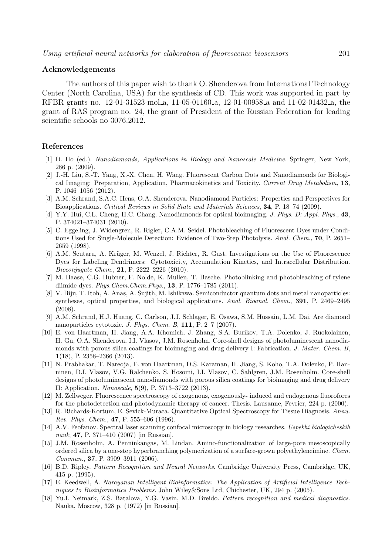#### **Acknowledgements**

The authors of this paper wish to thank O. Shenderova from International Technology Center (North Carolina, USA) for the synthesis of CD. This work was supported in part by RFBR grants no. 12-01-31523-mol a, 11-05-01160 a, 12-01-00958 a and 11-02-01432 a, the grant of RAS program no. 24, the grant of President of the Russian Federation for leading scientific schools no 3076.2012.

## **References**

- [1] D. Ho (ed.). *Nanodiamonds, Applications in Biology and Nanoscale Medicine*. Springer, New York, 286 p. (2009).
- [2] J.-H. Liu, S.-T. Yang, X.-X. Chen, H. Wang. Fluorescent Carbon Dots and Nanodiamonds for Biological Imaging: Preparation, Application, Pharmacokinetics and Toxicity. *Current Drug Metabolism*, **13**, P. 1046–1056 (2012).
- [3] A.M. Schrand, S.A.C. Hens, O.A. Shenderova. Nanodiamond Particles: Properties and Perspectives for Bioapplications. *Critical Reviews in Solid State and Materials Sciences*, **34**, P. 18–74 (2009).
- [4] Y.Y. Hui, C.L. Cheng, H.C. Chang. Nanodiamonds for optical bioimaging. *J. Phys. D: Appl. Phys.*, **43**, P. 374021–374031 (2010).
- [5] C. Eggeling, J. Widengren, R. Rigler, C.A.M. Seidel. Photobleaching of Fluorescent Dyes under Conditions Used for Single-Molecule Detection: Evidence of Two-Step Photolysis. *Anal. Chem.*, **70**, P. 2651– 2659 (1998).
- [6] A.M. Scutaru, A. Krüger, M. Wenzel, J. Richter, R. Gust. Investigations on the Use of Fluorescence Dyes for Labeling Dendrimers: Cytotoxicity, Accumulation Kinetics, and Intracellular Distribution. *Bioconjugate Chem.*, **21**, P. 2222–2226 (2010).
- [7] M. Haase, C.G. Hubner, F. Nolde, K. Mullen, T. Basche. Photoblinking and photobleaching of rylene diimide dyes. *Phys.Chem.Chem.Phys.*, **13**, P. 1776–1785 (2011).
- [8] V. Biju, T. Itoh, A. Anas, A. Sujith, M. Ishikawa. Semiconductor quantum dots and metal nanoparticles: syntheses, optical properties, and biological applications. *Anal. Bioanal. Chem.*, **391**, P. 2469–2495 (2008).
- [9] A.M. Schrand, H.J. Huang, C. Carlson, J.J. Schlager, E. Osawa, S.M. Hussain, L.M. Dai. Are diamond nanoparticles cytotoxic. *J. Phys. Chem. B*, **111**, P. 2–7 (2007).
- [10] E. von Haartman, H. Jiang, A.A. Khomich, J. Zhang, S.A. Burikov, T.A. Dolenko, J. Ruokolainen, H. Gu, O.A. Shenderova, I.I. Vlasov, J.M. Rosenholm. Core-shell designs of photoluminescent nanodiamonds with porous silica coatings for bioimaging and drug delivery I: Fabrication. *J. Mater. Chem. B*, **1**(18), P. 2358–2366 (2013).
- [11] N. Prabhakar, T. Nareoja, E. von Haartman, D.S. Karaman, H. Jiang, S. Koho, T.A. Dolenko, P. Hanninen, D.I. Vlasov, V.G. Ralchenko, S. Hosomi, I.I. Vlasov, C. Sahlgren, J.M. Rosenholm. Core-shell designs of photoluminescent nanodiamonds with porous silica coatings for bioimaging and drug delivery II: Application. *Nanoscale*, **5**(9), P. 3713–3722 (2013).
- [12] M. Zellweger. Fluorescence spectroscopy of exogenous, exogenously- induced and endogenous fluorofores for the photodetection and photodynamic therapy of cancer. Thesis. Lausanne, Fevrier, 224 p. (2000).
- [13] R. Richards-Kortum, E. Sevick-Muraca. Quantitative Optical Spectroscopy for Tissue Diagnosis. *Annu. Rev. Phys. Chem.*, **47**, P. 555–606 (1996).
- [14] A.V. Feofanov. Spectral laser scanning confocal microscopy in biology researches. *Uspekhi biologicheskih nauk*, **47**, P. 371–410 (2007) [in Russian].
- [15] J.M. Rosenholm, A. Penninkangas, M. Lindan. Amino-functionalization of large-pore mesoscopically ordered silica by a one-step hyperbranching polymerization of a surface-grown polyethyleneimine. *Chem. Commun.*, **37**, P. 3909–3911 (2006).
- [16] B.D. Ripley. *Pattern Recognition and Neural Networks*. Cambridge University Press, Cambridge, UK, 415 p. (1995).
- [17] E. Keedwell, A. *Narayanan Intelligent Bioinformatics: The Application of Artificial Intelligence Techniques to Bioinformatics Problems*. John Wiley&Sons Ltd, Chichester, UK, 294 p. (2005).
- [18] Yu.I. Neimark, Z.S. Batalova, Y.G. Vasin, M.D. Breido. *Pattern recognition and medical diagnostics*. Nauka, Moscow, 328 p. (1972) [in Russian].